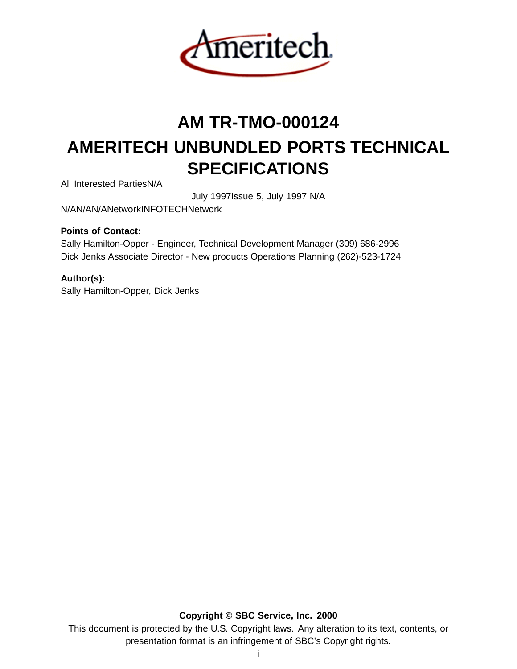

# **AM TR-TMO-000124 AMERITECH UNBUNDLED PORTS TECHNICAL SPECIFICATIONS**

All Interested PartiesN/A

July 1997Issue 5, July 1997 N/A

N/AN/AN/ANetworkINFOTECHNetwork

# **Points of Contact:**

Sally Hamilton-Opper - Engineer, Technical Development Manager (309) 686-2996 Dick Jenks Associate Director - New products Operations Planning (262)-523-1724

# **Author(s):**

Sally Hamilton-Opper, Dick Jenks

**Copyright © SBC Service, Inc. 2000** This document is protected by the U.S. Copyright laws. Any alteration to its text, contents, or presentation format is an infringement of SBC's Copyright rights.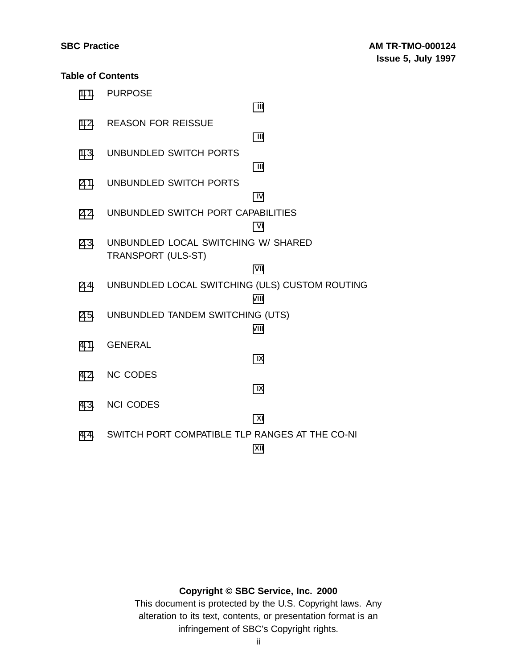# **Table of Contents**

|      | 1.1. PURPOSE                                                     | iίi  |
|------|------------------------------------------------------------------|------|
|      | 1.2. REASON FOR REISSUE                                          |      |
|      | 1.3. UNBUNDLED SWITCH PORTS                                      | iii  |
|      |                                                                  | iίi  |
|      | 2.1. UNBUNDLED SWITCH PORTS                                      | iv   |
|      | 2.2. UNBUNDLED SWITCH PORT CAPABILITIES                          | vi   |
| 2.3. | UNBUNDLED LOCAL SWITCHING W/ SHARED<br><b>TRANSPORT (ULS-ST)</b> |      |
|      |                                                                  | vii  |
|      | 2.4. UNBUNDLED LOCAL SWITCHING (ULS) CUSTOM ROUTING              | viii |
|      | 2.5. UNBUNDLED TANDEM SWITCHING (UTS)                            | viii |
|      | 4.1. GENERAL                                                     |      |
|      |                                                                  | ix   |
|      | 4.2. NC CODES                                                    | iх   |
|      | 4.3. NCI CODES                                                   |      |
|      |                                                                  | xi   |
|      | 4.4. SWITCH PORT COMPATIBLE TLP RANGES AT THE CO-NI              | xii  |

# **Copyright © SBC Service, Inc. 2000**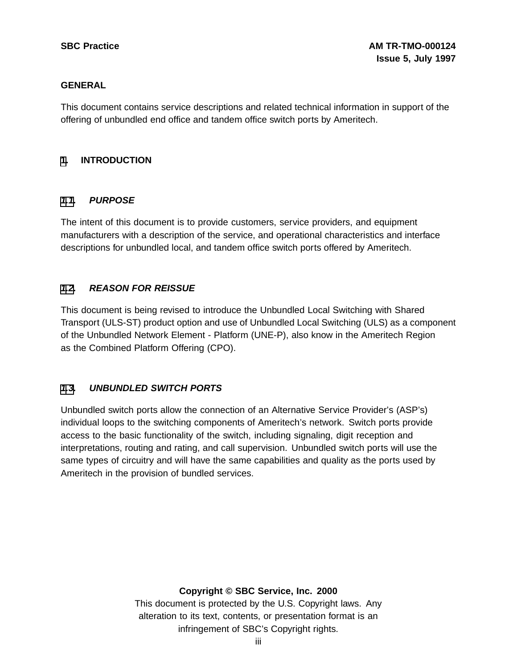# **GENERAL**

This document contains service descriptions and related technical information in support of the offering of unbundled end office and tandem office switch ports by Ameritech.

# **[1](#page-2-0). INTRODUCTION**

# **[1.1](#page-2-0). PURPOSE**

The intent of this document is to provide customers, service providers, and equipment manufacturers with a description of the service, and operational characteristics and interface descriptions for unbundled local, and tandem office switch ports offered by Ameritech.

# **[1.2](#page-2-0). REASON FOR REISSUE**

This document is being revised to introduce the Unbundled Local Switching with Shared Transport (ULS-ST) product option and use of Unbundled Local Switching (ULS) as a component of the Unbundled Network Element - Platform (UNE-P), also know in the Ameritech Region as the Combined Platform Offering (CPO).

# **[1.3](#page-2-0). UNBUNDLED SWITCH PORTS**

Unbundled switch ports allow the connection of an Alternative Service Provider's (ASP's) individual loops to the switching components of Ameritech's network. Switch ports provide access to the basic functionality of the switch, including signaling, digit reception and interpretations, routing and rating, and call supervision. Unbundled switch ports will use the same types of circuitry and will have the same capabilities and quality as the ports used by Ameritech in the provision of bundled services.

# <span id="page-2-0"></span>**Copyright © SBC Service, Inc. 2000**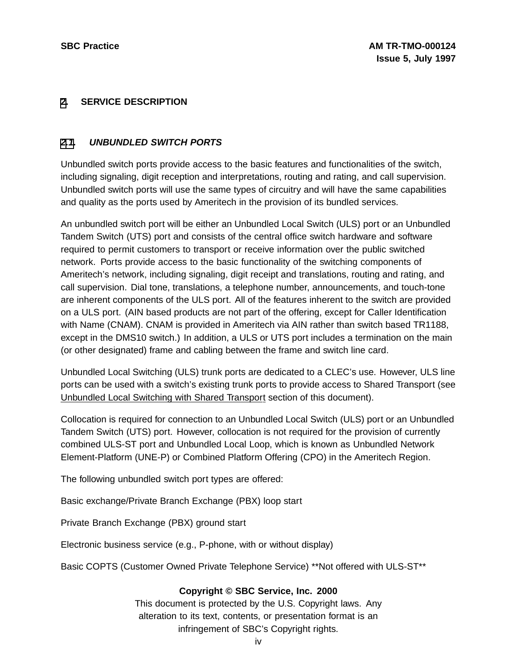# **[2](#page-3-0). SERVICE DESCRIPTION**

# **[2.1](#page-3-0). UNBUNDLED SWITCH PORTS**

Unbundled switch ports provide access to the basic features and functionalities of the switch, including signaling, digit reception and interpretations, routing and rating, and call supervision. Unbundled switch ports will use the same types of circuitry and will have the same capabilities and quality as the ports used by Ameritech in the provision of its bundled services.

An unbundled switch port will be either an Unbundled Local Switch (ULS) port or an Unbundled Tandem Switch (UTS) port and consists of the central office switch hardware and software required to permit customers to transport or receive information over the public switched network. Ports provide access to the basic functionality of the switching components of Ameritech's network, including signaling, digit receipt and translations, routing and rating, and call supervision. Dial tone, translations, a telephone number, announcements, and touch-tone are inherent components of the ULS port. All of the features inherent to the switch are provided on a ULS port. (AIN based products are not part of the offering, except for Caller Identification with Name (CNAM). CNAM is provided in Ameritech via AIN rather than switch based TR1188, except in the DMS10 switch.) In addition, a ULS or UTS port includes a termination on the main (or other designated) frame and cabling between the frame and switch line card.

Unbundled Local Switching (ULS) trunk ports are dedicated to a CLEC's use. However, ULS line ports can be used with a switch's existing trunk ports to provide access to Shared Transport (see Unbundled Local Switching with Shared Transport section of this document).

Collocation is required for connection to an Unbundled Local Switch (ULS) port or an Unbundled Tandem Switch (UTS) port. However, collocation is not required for the provision of currently combined ULS-ST port and Unbundled Local Loop, which is known as Unbundled Network Element-Platform (UNE-P) or Combined Platform Offering (CPO) in the Ameritech Region.

The following unbundled switch port types are offered:

Basic exchange/Private Branch Exchange (PBX) loop start

Private Branch Exchange (PBX) ground start

Electronic business service (e.g., P-phone, with or without display)

<span id="page-3-0"></span>Basic COPTS (Customer Owned Private Telephone Service) \*\*Not offered with ULS-ST\*\*

# **Copyright © SBC Service, Inc. 2000**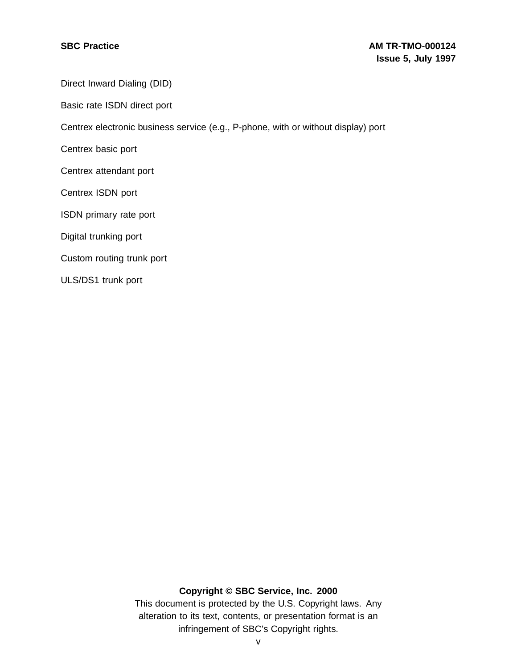Direct Inward Dialing (DID)

Basic rate ISDN direct port

Centrex electronic business service (e.g., P-phone, with or without display) port

Centrex basic port

Centrex attendant port

Centrex ISDN port

ISDN primary rate port

Digital trunking port

Custom routing trunk port

ULS/DS1 trunk port

# **Copyright © SBC Service, Inc. 2000**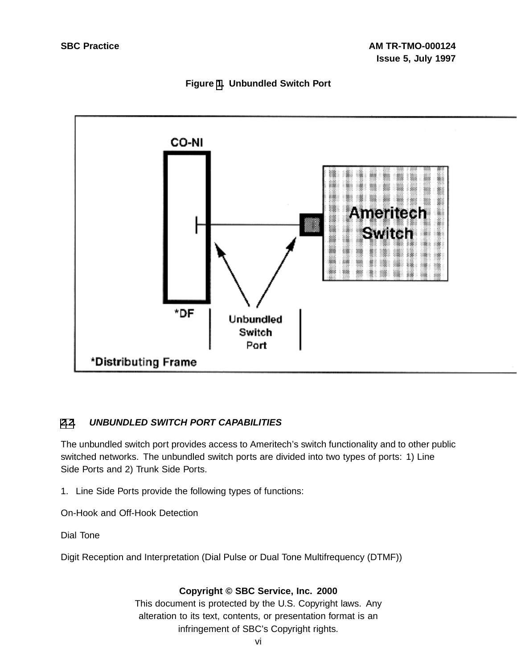



# **[2](#page-3-0)[.2](#page-5-0). UNBUNDLED SWITCH PORT CAPABILITIES**

The unbundled switch port provides access to Ameritech's switch functionality and to other public switched networks. The unbundled switch ports are divided into two types of ports: 1) Line Side Ports and 2) Trunk Side Ports.

1. Line Side Ports provide the following types of functions:

On-Hook and Off-Hook Detection

Dial Tone

<span id="page-5-0"></span>Digit Reception and Interpretation (Dial Pulse or Dual Tone Multifrequency (DTMF))

# **Copyright © SBC Service, Inc. 2000**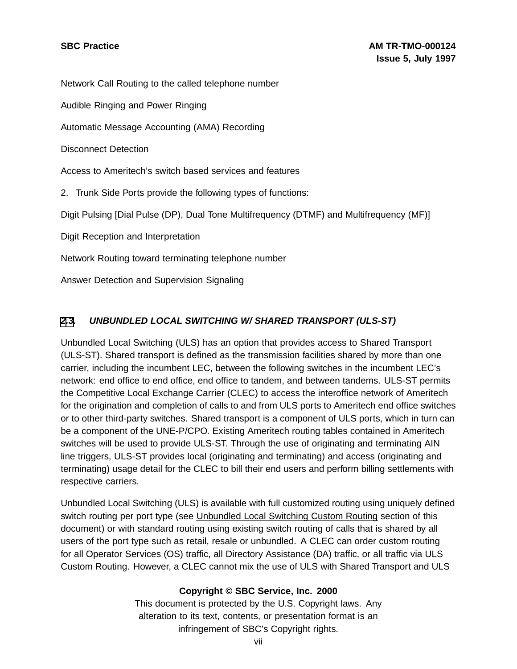Network Call Routing to the called telephone number

Audible Ringing and Power Ringing

Automatic Message Accounting (AMA) Recording

Disconnect Detection

Access to Ameritech's switch based services and features

2. Trunk Side Ports provide the following types of functions:

Digit Pulsing [Dial Pulse (DP), Dual Tone Multifrequency (DTMF) and Multifrequency (MF)]

Digit Reception and Interpretation

Network Routing toward terminating telephone number

Answer Detection and Supervision Signaling

# **[2](#page-3-0)[.3](#page-6-0). UNBUNDLED LOCAL SWITCHING W/ SHARED TRANSPORT (ULS-ST)**

Unbundled Local Switching (ULS) has an option that provides access to Shared Transport (ULS-ST). Shared transport is defined as the transmission facilities shared by more than one carrier, including the incumbent LEC, between the following switches in the incumbent LEC's network: end office to end office, end office to tandem, and between tandems. ULS-ST permits the Competitive Local Exchange Carrier (CLEC) to access the interoffice network of Ameritech for the origination and completion of calls to and from ULS ports to Ameritech end office switches or to other third-party switches. Shared transport is a component of ULS ports, which in turn can be a component of the UNE-P/CPO. Existing Ameritech routing tables contained in Ameritech switches will be used to provide ULS-ST. Through the use of originating and terminating AIN line triggers, ULS-ST provides local (originating and terminating) and access (originating and terminating) usage detail for the CLEC to bill their end users and perform billing settlements with respective carriers.

<span id="page-6-0"></span>Unbundled Local Switching (ULS) is available with full customized routing using uniquely defined switch routing per port type (see Unbundled Local Switching Custom Routing section of this document) or with standard routing using existing switch routing of calls that is shared by all users of the port type such as retail, resale or unbundled. A CLEC can order custom routing for all Operator Services (OS) traffic, all Directory Assistance (DA) traffic, or all traffic via ULS Custom Routing. However, a CLEC cannot mix the use of ULS with Shared Transport and ULS

# **Copyright © SBC Service, Inc. 2000**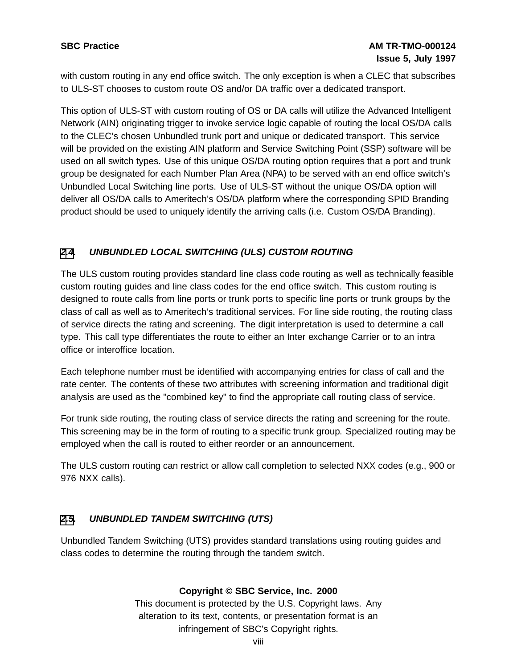with custom routing in any end office switch. The only exception is when a CLEC that subscribes to ULS-ST chooses to custom route OS and/or DA traffic over a dedicated transport.

This option of ULS-ST with custom routing of OS or DA calls will utilize the Advanced Intelligent Network (AIN) originating trigger to invoke service logic capable of routing the local OS/DA calls to the CLEC's chosen Unbundled trunk port and unique or dedicated transport. This service will be provided on the existing AIN platform and Service Switching Point (SSP) software will be used on all switch types. Use of this unique OS/DA routing option requires that a port and trunk group be designated for each Number Plan Area (NPA) to be served with an end office switch's Unbundled Local Switching line ports. Use of ULS-ST without the unique OS/DA option will deliver all OS/DA calls to Ameritech's OS/DA platform where the corresponding SPID Branding product should be used to uniquely identify the arriving calls (i.e. Custom OS/DA Branding).

# **[2](#page-3-0)[.4](#page-7-0). UNBUNDLED LOCAL SWITCHING (ULS) CUSTOM ROUTING**

The ULS custom routing provides standard line class code routing as well as technically feasible custom routing guides and line class codes for the end office switch. This custom routing is designed to route calls from line ports or trunk ports to specific line ports or trunk groups by the class of call as well as to Ameritech's traditional services. For line side routing, the routing class of service directs the rating and screening. The digit interpretation is used to determine a call type. This call type differentiates the route to either an Inter exchange Carrier or to an intra office or interoffice location.

Each telephone number must be identified with accompanying entries for class of call and the rate center. The contents of these two attributes with screening information and traditional digit analysis are used as the "combined key" to find the appropriate call routing class of service.

For trunk side routing, the routing class of service directs the rating and screening for the route. This screening may be in the form of routing to a specific trunk group. Specialized routing may be employed when the call is routed to either reorder or an announcement.

The ULS custom routing can restrict or allow call completion to selected NXX codes (e.g., 900 or 976 NXX calls).

# **[2](#page-3-0)[.5](#page-7-0). UNBUNDLED TANDEM SWITCHING (UTS)**

<span id="page-7-0"></span>Unbundled Tandem Switching (UTS) provides standard translations using routing guides and class codes to determine the routing through the tandem switch.

# **Copyright © SBC Service, Inc. 2000**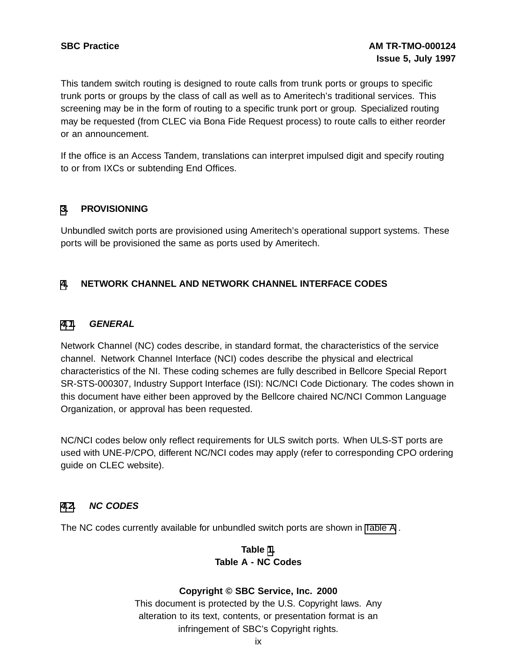This tandem switch routing is designed to route calls from trunk ports or groups to specific trunk ports or groups by the class of call as well as to Ameritech's traditional services. This screening may be in the form of routing to a specific trunk port or group. Specialized routing may be requested (from CLEC via Bona Fide Request process) to route calls to either reorder or an announcement.

If the office is an Access Tandem, translations can interpret impulsed digit and specify routing to or from IXCs or subtending End Offices.

# **[3](#page-8-0). PROVISIONING**

Unbundled switch ports are provisioned using Ameritech's operational support systems. These ports will be provisioned the same as ports used by Ameritech.

# **[4](#page-8-0). NETWORK CHANNEL AND NETWORK CHANNEL INTERFACE CODES**

# **[4.1](#page-8-0). GENERAL**

Network Channel (NC) codes describe, in standard format, the characteristics of the service channel. Network Channel Interface (NCI) codes describe the physical and electrical characteristics of the NI. These coding schemes are fully described in Bellcore Special Report SR-STS-000307, Industry Support Interface (ISI): NC/NCI Code Dictionary. The codes shown in this document have either been approved by the Bellcore chaired NC/NCI Common Language Organization, or approval has been requested.

NC/NCI codes below only reflect requirements for ULS switch ports. When ULS-ST ports are used with UNE-P/CPO, different NC/NCI codes may apply (refer to corresponding CPO ordering guide on CLEC website).

# **[4.2](#page-8-0). NC CODES**

<span id="page-8-0"></span>The NC codes currently available for unbundled switch ports are shown in [Table](#page-8-0) A .

# **Table [1](#page-8-0). Table A - NC Codes**

# **Copyright © SBC Service, Inc. 2000**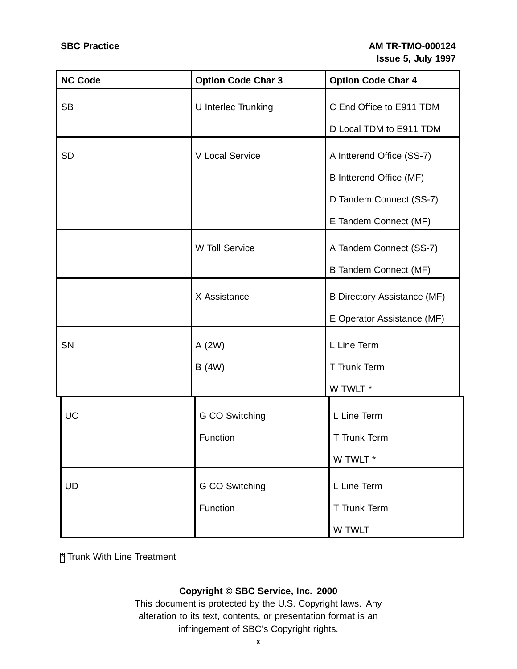| <b>NC Code</b> | <b>Option Code Char 3</b> | <b>Option Code Char 4</b>          |
|----------------|---------------------------|------------------------------------|
| <b>SB</b>      | U Interlec Trunking       | C End Office to E911 TDM           |
|                |                           | D Local TDM to E911 TDM            |
| <b>SD</b>      | V Local Service           | A Intterend Office (SS-7)          |
|                |                           |                                    |
|                |                           | B Intterend Office (MF)            |
|                |                           | D Tandem Connect (SS-7)            |
|                |                           | E Tandem Connect (MF)              |
|                | W Toll Service            | A Tandem Connect (SS-7)            |
|                |                           | <b>B Tandem Connect (MF)</b>       |
|                | X Assistance              | <b>B Directory Assistance (MF)</b> |
|                |                           | E Operator Assistance (MF)         |
| SN             | A (2W)                    | L Line Term                        |
|                | B (4W)                    | T Trunk Term                       |
|                |                           | W TWLT *                           |
| UC             | G CO Switching            | L Line Term                        |
|                | Function                  | T Trunk Term                       |
|                |                           | W TWLT *                           |
| <b>UD</b>      | G CO Switching            | L Line Term                        |
|                |                           |                                    |
|                | Function                  | T Trunk Term                       |
|                |                           | W TWLT                             |

<span id="page-9-0"></span>[\\*](#page-9-0) Trunk With Line Treatment

# **Copyright © SBC Service, Inc. 2000**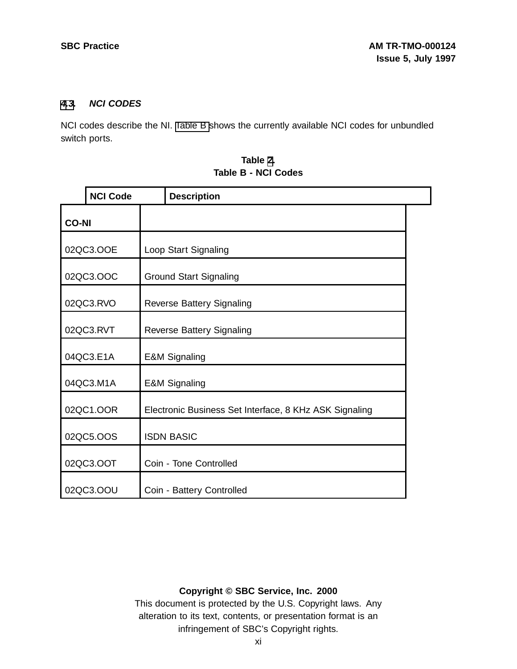# **[4](#page-8-0)[.3](#page-10-0). NCI CODES**

NCI codes describe the NI. [Table](#page-10-0) B shows the currently available NCI codes for unbundled switch ports.

|              | <b>NCI Code</b> |                                  | <b>Description</b>                                     |  |
|--------------|-----------------|----------------------------------|--------------------------------------------------------|--|
| <b>CO-NI</b> |                 |                                  |                                                        |  |
|              | 02QC3.OOE       |                                  | Loop Start Signaling                                   |  |
| 02QC3.OOC    |                 |                                  | <b>Ground Start Signaling</b>                          |  |
| 02QC3.RVO    |                 |                                  | <b>Reverse Battery Signaling</b>                       |  |
| 02QC3.RVT    |                 | <b>Reverse Battery Signaling</b> |                                                        |  |
| 04QC3.E1A    |                 | <b>E&amp;M Signaling</b>         |                                                        |  |
| 04QC3.M1A    |                 | <b>E&amp;M Signaling</b>         |                                                        |  |
|              | 02QC1.OOR       |                                  | Electronic Business Set Interface, 8 KHz ASK Signaling |  |
|              | 02QC5.OOS       |                                  | <b>ISDN BASIC</b>                                      |  |
|              | 02QC3.OOT       |                                  | Coin - Tone Controlled                                 |  |
|              | 02QC3.OOU       |                                  | Coin - Battery Controlled                              |  |

| Table 2. |  |  |  |                     |
|----------|--|--|--|---------------------|
|          |  |  |  | Table B - NCI Codes |

# <span id="page-10-0"></span>**Copyright © SBC Service, Inc. 2000**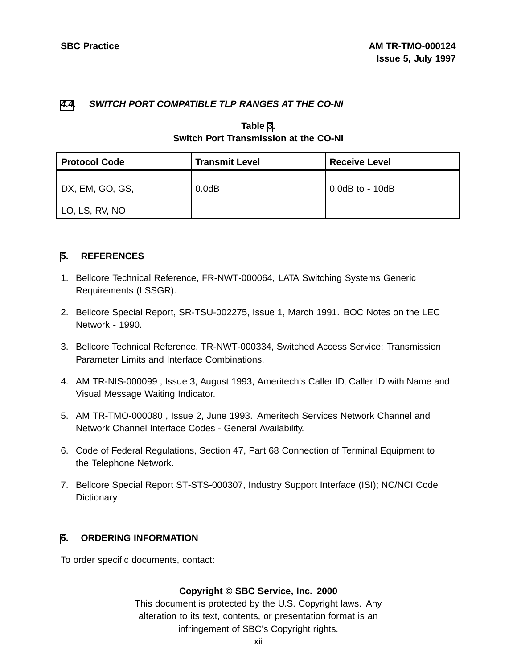# **[4](#page-8-0)[.4](#page-11-0). SWITCH PORT COMPATIBLE TLP RANGES AT THE CO-NI**

# **Table [3](#page-11-0). Switch Port Transmission at the CO-NI**

| <b>Protocol Code</b> | <b>Transmit Level</b> | <b>Receive Level</b> |
|----------------------|-----------------------|----------------------|
| DX, EM, GO, GS,      | $0.0$ d $B$           | $0.0dB$ to - 10dB    |
| LO, LS, RV, NO       |                       |                      |

# **[5](#page-11-0). REFERENCES**

- 1. Bellcore Technical Reference, FR-NWT-000064, LATA Switching Systems Generic Requirements (LSSGR).
- 2. Bellcore Special Report, SR-TSU-002275, Issue 1, March 1991. BOC Notes on the LEC Network - 1990.
- 3. Bellcore Technical Reference, TR-NWT-000334, Switched Access Service: Transmission Parameter Limits and Interface Combinations.
- 4. AM TR-NIS-000099 , Issue 3, August 1993, Ameritech's Caller ID, Caller ID with Name and Visual Message Waiting Indicator.
- 5. AM TR-TMO-000080 , Issue 2, June 1993. Ameritech Services Network Channel and Network Channel Interface Codes - General Availability.
- 6. Code of Federal Regulations, Section 47, Part 68 Connection of Terminal Equipment to the Telephone Network.
- 7. Bellcore Special Report ST-STS-000307, Industry Support Interface (ISI); NC/NCI Code **Dictionary**

# **[6](#page-11-0). ORDERING INFORMATION**

<span id="page-11-0"></span>To order specific documents, contact:

# **Copyright © SBC Service, Inc. 2000**